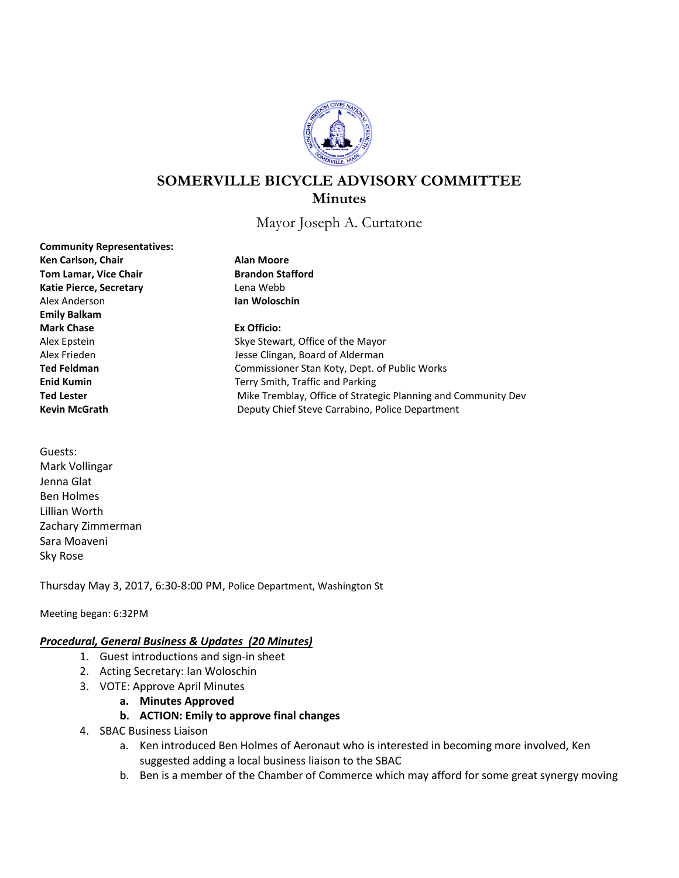

# **SOMERVILLE BICYCLE ADVISORY COMMITTEE Minutes**

Mayor Joseph A. Curtatone

**Community Representatives: Ken Carlson, Chair Alan Moore Tom Lamar, Vice Chair Brandon Stafford** Katie Pierce, Secretary **Lena Webb** Alex Anderson **Ian Woloschin Emily Balkam Mark Chase Ex Officio:** Alex Epstein Skye Stewart, Office of the Mayor Alex Frieden **Alex Frieden** Jesse Clingan, Board of Alderman **Ted Feldman** Commissioner Stan Koty, Dept. of Public Works **Enid Kumin** Terry Smith, Traffic and Parking **Ted Lester** Mike Tremblay, Office of Strategic Planning and Community Dev **Kevin McGrath** Deputy Chief Steve Carrabino, Police Department

Guests: Mark Vollingar Jenna Glat Ben Holmes Lillian Worth Zachary Zimmerman Sara Moaveni Sky Rose

Thursday May 3, 2017, 6:30-8:00 PM, Police Department, Washington St

Meeting began: 6:32PM

#### *Procedural, General Business & Updates (20 Minutes)*

- 1. Guest introductions and sign-in sheet
- 2. Acting Secretary: Ian Woloschin
- 3. VOTE: Approve April Minutes
	- **a. Minutes Approved**
	- **b. ACTION: Emily to approve final changes**
- 4. SBAC Business Liaison
	- a. Ken introduced Ben Holmes of Aeronaut who is interested in becoming more involved, Ken suggested adding a local business liaison to the SBAC
	- b. Ben is a member of the Chamber of Commerce which may afford for some great synergy moving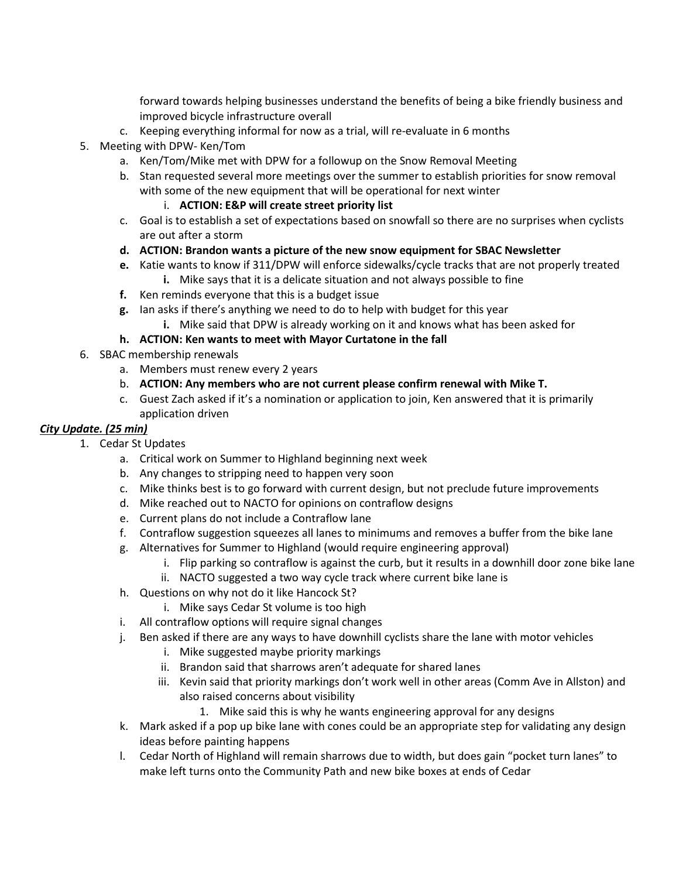forward towards helping businesses understand the benefits of being a bike friendly business and improved bicycle infrastructure overall

- c. Keeping everything informal for now as a trial, will re-evaluate in 6 months
- 5. Meeting with DPW- Ken/Tom
	- a. Ken/Tom/Mike met with DPW for a followup on the Snow Removal Meeting
	- b. Stan requested several more meetings over the summer to establish priorities for snow removal with some of the new equipment that will be operational for next winter

## i. **ACTION: E&P will create street priority list**

- c. Goal is to establish a set of expectations based on snowfall so there are no surprises when cyclists are out after a storm
- **d. ACTION: Brandon wants a picture of the new snow equipment for SBAC Newsletter**
- **e.** Katie wants to know if 311/DPW will enforce sidewalks/cycle tracks that are not properly treated **i.** Mike says that it is a delicate situation and not always possible to fine
- **f.** Ken reminds everyone that this is a budget issue
- **g.** Ian asks if there's anything we need to do to help with budget for this year
	- **i.** Mike said that DPW is already working on it and knows what has been asked for

## **h. ACTION: Ken wants to meet with Mayor Curtatone in the fall**

- 6. SBAC membership renewals
	- a. Members must renew every 2 years
	- b. **ACTION: Any members who are not current please confirm renewal with Mike T.**
	- c. Guest Zach asked if it's a nomination or application to join, Ken answered that it is primarily application driven

## *City Update. (25 min)*

- 1. Cedar St Updates
	- a. Critical work on Summer to Highland beginning next week
	- b. Any changes to stripping need to happen very soon
	- c. Mike thinks best is to go forward with current design, but not preclude future improvements
	- d. Mike reached out to NACTO for opinions on contraflow designs
	- e. Current plans do not include a Contraflow lane
	- f. Contraflow suggestion squeezes all lanes to minimums and removes a buffer from the bike lane
	- g. Alternatives for Summer to Highland (would require engineering approval)
		- i. Flip parking so contraflow is against the curb, but it results in a downhill door zone bike lane
		- ii. NACTO suggested a two way cycle track where current bike lane is
	- h. Questions on why not do it like Hancock St?
		- i. Mike says Cedar St volume is too high
	- i. All contraflow options will require signal changes
	- j. Ben asked if there are any ways to have downhill cyclists share the lane with motor vehicles
		- i. Mike suggested maybe priority markings
			- ii. Brandon said that sharrows aren't adequate for shared lanes
			- iii. Kevin said that priority markings don't work well in other areas (Comm Ave in Allston) and also raised concerns about visibility
				- 1. Mike said this is why he wants engineering approval for any designs
	- k. Mark asked if a pop up bike lane with cones could be an appropriate step for validating any design ideas before painting happens
	- l. Cedar North of Highland will remain sharrows due to width, but does gain "pocket turn lanes" to make left turns onto the Community Path and new bike boxes at ends of Cedar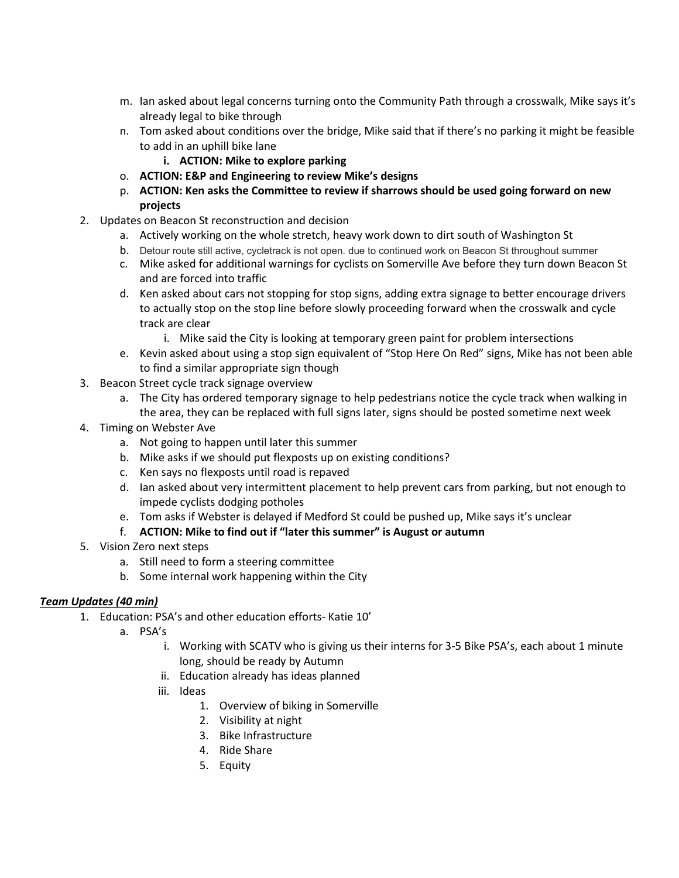- m. Ian asked about legal concerns turning onto the Community Path through a crosswalk, Mike says it's already legal to bike through
- n. Tom asked about conditions over the bridge, Mike said that if there's no parking it might be feasible to add in an uphill bike lane
	- **i. ACTION: Mike to explore parking**
- o. **ACTION: E&P and Engineering to review Mike's designs**
- p. **ACTION: Ken asks the Committee to review if sharrows should be used going forward on new projects**
- 2. Updates on Beacon St reconstruction and decision
	- a. Actively working on the whole stretch, heavy work down to dirt south of Washington St
	- b. Detour route still active, cycletrack is not open. due to continued work on Beacon St throughout summer
	- c. Mike asked for additional warnings for cyclists on Somerville Ave before they turn down Beacon St and are forced into traffic
	- d. Ken asked about cars not stopping for stop signs, adding extra signage to better encourage drivers to actually stop on the stop line before slowly proceeding forward when the crosswalk and cycle track are clear
		- i. Mike said the City is looking at temporary green paint for problem intersections
	- e. Kevin asked about using a stop sign equivalent of "Stop Here On Red" signs, Mike has not been able to find a similar appropriate sign though
- 3. Beacon Street cycle track signage overview
	- a. The City has ordered temporary signage to help pedestrians notice the cycle track when walking in the area, they can be replaced with full signs later, signs should be posted sometime next week
- 4. Timing on Webster Ave
	- a. Not going to happen until later this summer
	- b. Mike asks if we should put flexposts up on existing conditions?
	- c. Ken says no flexposts until road is repaved
	- d. Ian asked about very intermittent placement to help prevent cars from parking, but not enough to impede cyclists dodging potholes
	- e. Tom asks if Webster is delayed if Medford St could be pushed up, Mike says it's unclear

# f. **ACTION: Mike to find out if "later this summer" is August or autumn**

- 5. Vision Zero next steps
	- a. Still need to form a steering committee
	- b. Some internal work happening within the City

# *Team Updates (40 min)*

- 1. Education: PSA's and other education efforts- Katie 10'
	- a. PSA's
		- i. Working with SCATV who is giving us their interns for 3-5 Bike PSA's, each about 1 minute long, should be ready by Autumn
		- ii. Education already has ideas planned
		- iii. Ideas
			- 1. Overview of biking in Somerville
			- 2. Visibility at night
			- 3. Bike Infrastructure
			- 4. Ride Share
			- 5. Equity